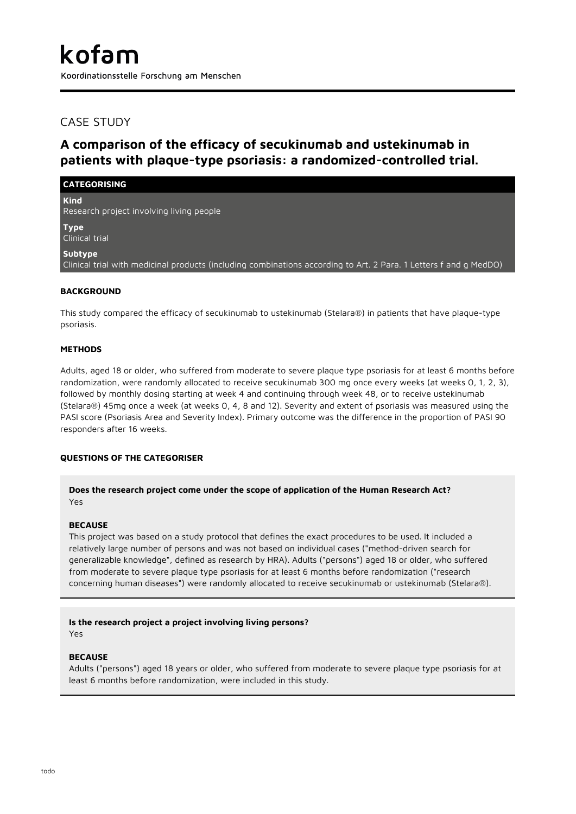# CASE STUDY

# **A comparison of the efficacy of secukinumab and ustekinumab in patients with plaque-type psoriasis: a randomized-controlled trial.**

## **CATEGORISING**

**Kind** Research project involving living people

**Type** Clinical trial

**Subtype**

Clinical trial with medicinal products (including combinations according to Art. 2 Para. 1 Letters f and g MedDO)

## **BACKGROUND**

This study compared the efficacy of secukinumab to ustekinumab (Stelara®) in patients that have plaque-type psoriasis.

## **METHODS**

Adults, aged 18 or older, who suffered from moderate to severe plaque type psoriasis for at least 6 months before randomization, were randomly allocated to receive secukinumab 300 mg once every weeks (at weeks 0, 1, 2, 3), followed by monthly dosing starting at week 4 and continuing through week 48, or to receive ustekinumab (Stelara®) 45mg once a week (at weeks 0, 4, 8 and 12). Severity and extent of psoriasis was measured using the PASI score (Psoriasis Area and Severity Index). Primary outcome was the difference in the proportion of PASI 90 responders after 16 weeks.

# **QUESTIONS OF THE CATEGORISER**

## **Does the research project come under the scope of application of the Human Research Act?** Yes

## **BECAUSE**

This project was based on a study protocol that defines the exact procedures to be used. It included a relatively large number of persons and was not based on individual cases ("method-driven search for generalizable knowledge", defined as research by HRA). Adults ("persons") aged 18 or older, who suffered from moderate to severe plaque type psoriasis for at least 6 months before randomization ("research concerning human diseases") were randomly allocated to receive secukinumab or ustekinumab (Stelara®).

# **Is the research project a project involving living persons?**

Yes

## **BECAUSE**

Adults ("persons") aged 18 years or older, who suffered from moderate to severe plaque type psoriasis for at least 6 months before randomization, were included in this study.